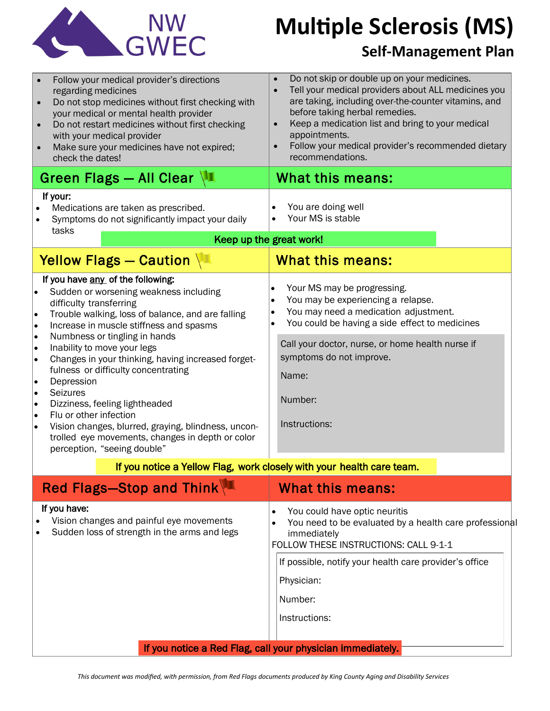

# **Multiple Sclerosis (MS)**

### **Self-Management Plan**

| $\bullet$<br>$\bullet$                                                       | Follow your medical provider's directions<br>regarding medicines<br>Do not stop medicines without first checking with<br>your medical or mental health provider<br>Do not restart medicines without first checking<br>with your medical provider<br>Make sure your medicines have not expired;<br>check the dates!<br>Green Flags - All Clear $\sqrt{2}$                                                                                                                                                                                                                                            | $\bullet$<br>$\bullet$<br>$\bullet$ | Do not skip or double up on your medicines.<br>Tell your medical providers about ALL medicines you<br>are taking, including over-the-counter vitamins, and<br>before taking herbal remedies.<br>Keep a medication list and bring to your medical<br>appointments.<br>Follow your medical provider's recommended dietary<br>recommendations.<br>What this means: |  |
|------------------------------------------------------------------------------|-----------------------------------------------------------------------------------------------------------------------------------------------------------------------------------------------------------------------------------------------------------------------------------------------------------------------------------------------------------------------------------------------------------------------------------------------------------------------------------------------------------------------------------------------------------------------------------------------------|-------------------------------------|-----------------------------------------------------------------------------------------------------------------------------------------------------------------------------------------------------------------------------------------------------------------------------------------------------------------------------------------------------------------|--|
| If your:                                                                     |                                                                                                                                                                                                                                                                                                                                                                                                                                                                                                                                                                                                     |                                     |                                                                                                                                                                                                                                                                                                                                                                 |  |
|                                                                              | Medications are taken as prescribed.<br>Symptoms do not significantly impact your daily<br>tasks                                                                                                                                                                                                                                                                                                                                                                                                                                                                                                    |                                     | You are doing well<br>Your MS is stable                                                                                                                                                                                                                                                                                                                         |  |
|                                                                              | Keep up the great work!                                                                                                                                                                                                                                                                                                                                                                                                                                                                                                                                                                             |                                     |                                                                                                                                                                                                                                                                                                                                                                 |  |
| Yellow Flags - Caution                                                       |                                                                                                                                                                                                                                                                                                                                                                                                                                                                                                                                                                                                     |                                     | What this means:                                                                                                                                                                                                                                                                                                                                                |  |
| $\bullet$<br> .<br>I۰<br>I۰<br>l.<br>I۰<br>I۰<br>I۰<br> .<br>I۰<br>$\bullet$ | If you have any of the following:<br>Sudden or worsening weakness including<br>difficulty transferring<br>Trouble walking, loss of balance, and are falling<br>Increase in muscle stiffness and spasms<br>Numbness or tingling in hands<br>Inability to move your legs<br>Changes in your thinking, having increased forget-<br>fulness or difficulty concentrating<br>Depression<br>Seizures<br>Dizziness, feeling lightheaded<br>Flu or other infection<br>Vision changes, blurred, graying, blindness, uncon-<br>trolled eye movements, changes in depth or color<br>perception, "seeing double" |                                     | Your MS may be progressing.<br>You may be experiencing a relapse.<br>You may need a medication adjustment.<br>You could be having a side effect to medicines<br>Call your doctor, nurse, or home health nurse if<br>symptoms do not improve.<br>Name:<br>Number:<br>Instructions:                                                                               |  |
| If you notice a Yellow Flag, work closely with your health care team.        |                                                                                                                                                                                                                                                                                                                                                                                                                                                                                                                                                                                                     |                                     |                                                                                                                                                                                                                                                                                                                                                                 |  |
|                                                                              | Red Flags-Stop and Think                                                                                                                                                                                                                                                                                                                                                                                                                                                                                                                                                                            |                                     | <b>What this means:</b>                                                                                                                                                                                                                                                                                                                                         |  |
|                                                                              | If you have:<br>Vision changes and painful eye movements<br>Sudden loss of strength in the arms and legs                                                                                                                                                                                                                                                                                                                                                                                                                                                                                            | $\bullet$                           | You could have optic neuritis<br>You need to be evaluated by a health care professional<br>immediately<br>FOLLOW THESE INSTRUCTIONS: CALL 9-1-1<br>If possible, notify your health care provider's office<br>Physician:<br>Number:                                                                                                                              |  |
|                                                                              |                                                                                                                                                                                                                                                                                                                                                                                                                                                                                                                                                                                                     |                                     | Instructions:                                                                                                                                                                                                                                                                                                                                                   |  |
|                                                                              | If you notice a Red Flag, call your physician immediately.                                                                                                                                                                                                                                                                                                                                                                                                                                                                                                                                          |                                     |                                                                                                                                                                                                                                                                                                                                                                 |  |